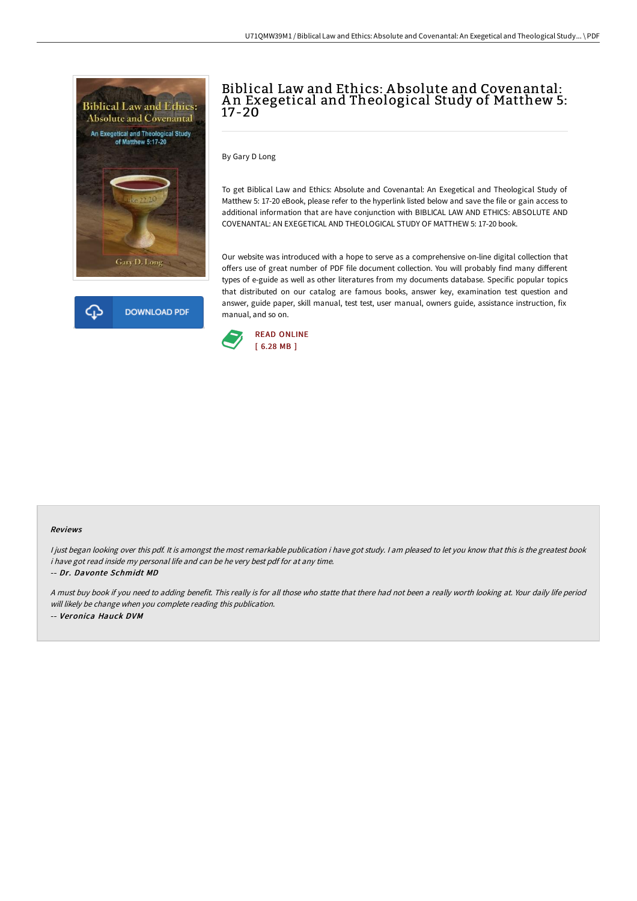



# Biblical Law and Ethics: A bsolute and Covenantal: An Exegetical and Theological Study of Matthew 5: 17-20

By Gary D Long

To get Biblical Law and Ethics: Absolute and Covenantal: An Exegetical and Theological Study of Matthew 5: 17-20 eBook, please refer to the hyperlink listed below and save the file or gain access to additional information that are have conjunction with BIBLICAL LAW AND ETHICS: ABSOLUTE AND COVENANTAL: AN EXEGETICAL AND THEOLOGICAL STUDY OF MATTHEW 5: 17-20 book.

Our website was introduced with a hope to serve as a comprehensive on-line digital collection that offers use of great number of PDF file document collection. You will probably find many different types of e-guide as well as other literatures from my documents database. Specific popular topics that distributed on our catalog are famous books, answer key, examination test question and answer, guide paper, skill manual, test test, user manual, owners guide, assistance instruction, fix manual, and so on.



#### Reviews

I just began looking over this pdf. It is amongst the most remarkable publication i have got study. I am pleased to let you know that this is the greatest book i have got read inside my personal life and can be he very best pdf for at any time.

-- Dr. Davonte Schmidt MD

<sup>A</sup> must buy book if you need to adding benefit. This really is for all those who statte that there had not been <sup>a</sup> really worth looking at. Your daily life period will likely be change when you complete reading this publication. -- Veronica Hauck DVM